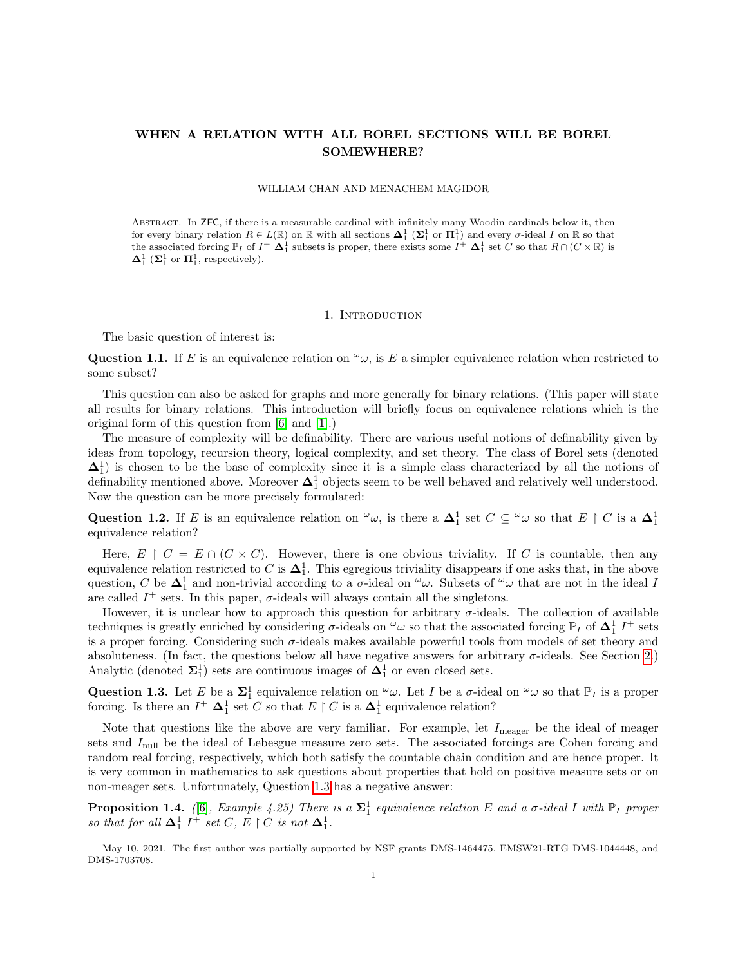# WHEN A RELATION WITH ALL BOREL SECTIONS WILL BE BOREL SOMEWHERE?

#### WILLIAM CHAN AND MENACHEM MAGIDOR

Abstract. In ZFC, if there is a measurable cardinal with infinitely many Woodin cardinals below it, then for every binary relation  $R \in L(\mathbb{R})$  on  $\mathbb R$  with all sections  $\Delta_1^1$  ( $\Sigma_1^1$  or  $\Pi_1^1$ ) and every  $\sigma$ -ideal I on  $\mathbb R$  so that the associated forcing  $\mathbb{P}_I$  of  $I^+$   $\Delta_1^1$  subsets is proper, there exists some  $\overline{I^+}$   $\Delta_1^1$  set C so that  $R \cap (C \times \mathbb{R})$  is  $\mathbf{\Delta}^1_1$  ( $\mathbf{\Sigma}^1_1$  or  $\mathbf{\Pi}^1_1$ , respectively).

### 1. INTRODUCTION

The basic question of interest is:

Question 1.1. If E is an equivalence relation on  $\omega_{\omega}$ , is E a simpler equivalence relation when restricted to some subset?

This question can also be asked for graphs and more generally for binary relations. (This paper will state all results for binary relations. This introduction will briefly focus on equivalence relations which is the original form of this question from [\[6\]](#page-10-0) and [\[1\]](#page-10-1).)

The measure of complexity will be definability. There are various useful notions of definability given by ideas from topology, recursion theory, logical complexity, and set theory. The class of Borel sets (denoted  $\Delta_1^1$ ) is chosen to be the base of complexity since it is a simple class characterized by all the notions of definability mentioned above. Moreover  $\Delta_1^1$  objects seem to be well behaved and relatively well understood. Now the question can be more precisely formulated:

Question 1.2. If E is an equivalence relation on  $\omega_{\omega}$ , is there a  $\Delta_1^1$  set  $C \subseteq \omega_{\omega}$  so that  $E \restriction C$  is a  $\Delta_1^1$ equivalence relation?

Here,  $E \restriction C = E \cap (C \times C)$ . However, there is one obvious triviality. If C is countable, then any equivalence relation restricted to C is  $\Delta_1^1$ . This egregious triviality disappears if one asks that, in the above question, C be  $\Delta_1^1$  and non-trivial according to a  $\sigma$ -ideal on  $\omega$ . Subsets of  $\omega$  that are not in the ideal I are called  $I^+$  sets. In this paper,  $\sigma$ -ideals will always contain all the singletons.

However, it is unclear how to approach this question for arbitrary σ-ideals. The collection of available techniques is greatly enriched by considering  $\sigma$ -ideals on  $\omega$  so that the associated forcing  $\mathbb{P}_I$  of  $\Delta_1^1$  I<sup>+</sup> sets is a proper forcing. Considering such  $\sigma$ -ideals makes available powerful tools from models of set theory and absoluteness. (In fact, the questions below all have negative answers for arbitrary  $\sigma$ -ideals. See Section [2.](#page-2-0)) Analytic (denoted  $\Sigma_1^1$ ) sets are continuous images of  $\Delta_1^1$  or even closed sets.

<span id="page-0-0"></span>**Question 1.3.** Let E be a  $\Sigma_1^1$  equivalence relation on  $\omega$ . Let I be a  $\sigma$ -ideal on  $\omega$  so that  $\mathbb{P}_I$  is a proper forcing. Is there an  $I^+$   $\mathbf{\Delta}^1_1$  set C so that  $E \restriction C$  is a  $\mathbf{\Delta}^1_1$  equivalence relation?

Note that questions like the above are very familiar. For example, let  $I_{\text{measure}}$  be the ideal of meager sets and  $I_{\text{null}}$  be the ideal of Lebesgue measure zero sets. The associated forcings are Cohen forcing and random real forcing, respectively, which both satisfy the countable chain condition and are hence proper. It is very common in mathematics to ask questions about properties that hold on positive measure sets or on non-meager sets. Unfortunately, Question [1.3](#page-0-0) has a negative answer:

**Proposition 1.4.** ([\[6\]](#page-10-0), Example 4.25) There is a  $\Sigma_1^1$  equivalence relation E and a  $\sigma$ -ideal I with  $\mathbb{P}_I$  proper so that for all  $\Delta_1^1$   $I^+$  set C,  $E \restriction C$  is not  $\Delta_1^1$ .

May 10, 2021. The first author was partially supported by NSF grants DMS-1464475, EMSW21-RTG DMS-1044448, and DMS-1703708.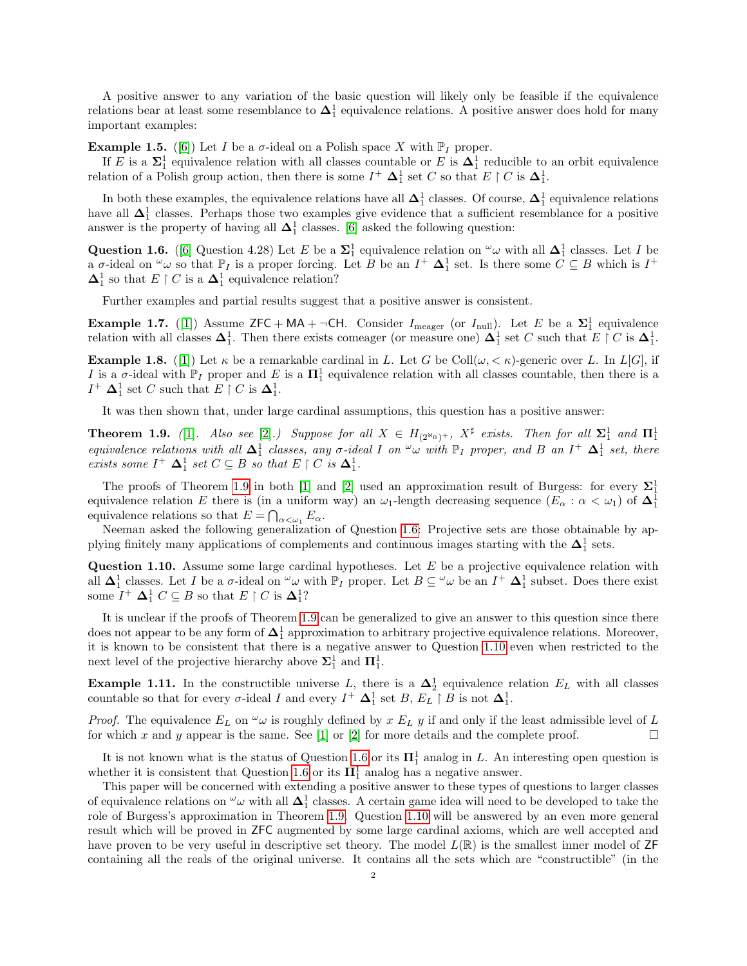A positive answer to any variation of the basic question will likely only be feasible if the equivalence relations bear at least some resemblance to  $\Delta_1^1$  equivalence relations. A positive answer does hold for many important examples:

**Example 1.5.** ([\[6\]](#page-10-0)) Let I be a  $\sigma$ -ideal on a Polish space X with  $\mathbb{P}_I$  proper.

If E is a  $\Sigma_1^1$  equivalence relation with all classes countable or E is  $\Delta_1^1$  reducible to an orbit equivalence relation of a Polish group action, then there is some  $I^+ \Delta_1^1$  set C so that  $E \restriction C$  is  $\Delta_1^1$ .

In both these examples, the equivalence relations have all  $\Delta_1^1$  classes. Of course,  $\Delta_1^1$  equivalence relations have all  $\Delta_1^1$  classes. Perhaps those two examples give evidence that a sufficient resemblance for a positive answer is the property of having all  $\Delta_1^1$  classes. [\[6\]](#page-10-0) asked the following question:

<span id="page-1-1"></span>Question 1.6. ([\[6\]](#page-10-0) Question 4.28) Let E be a  $\Sigma_1^1$  equivalence relation on  $\omega$  with all  $\Delta_1^1$  classes. Let I be a  $\sigma$ -ideal on  $\omega$  so that  $\mathbb{P}_I$  is a proper forcing. Let B be an  $I^+$   $\Delta_1^1$  set. Is there some  $\tilde{C} \subseteq B$  which is  $I^+$  $\mathbf{\Delta}^1_1$  so that  $E \restriction C$  is a  $\mathbf{\Delta}^1_1$  equivalence relation?

Further examples and partial results suggest that a positive answer is consistent.

**Example 1.7.** ([\[1\]](#page-10-1)) Assume  $\mathsf{ZFC} + \mathsf{MA} + \neg \mathsf{CH}$ . Consider  $I_{\text{meager}}$  (or  $I_{\text{null}}$ ). Let E be a  $\Sigma_1^1$  equivalence relation with all classes  $\Delta_1^1$ . Then there exists comeager (or measure one)  $\Delta_1^1$  set C such that  $E \restriction C$  is  $\Delta_1^1$ .

**Example 1.8.** ([\[1\]](#page-10-1)) Let  $\kappa$  be a remarkable cardinal in L. Let G be Coll $(\omega, \kappa)$ -generic over L. In L[G], if I is a  $\sigma$ -ideal with  $\mathbb{P}_I$  proper and E is a  $\mathbf{\Pi}^1_1$  equivalence relation with all classes countable, then there is a  $I^+ \Delta_1^1$  set C such that  $E \restriction C$  is  $\Delta_1^1$ .

It was then shown that, under large cardinal assumptions, this question has a positive answer:

<span id="page-1-0"></span>**Theorem 1.9.** ([\[1\]](#page-10-1). Also see [\[2\]](#page-10-2).) Suppose for all  $X \in H_{(2^{\aleph_0})^+}$ ,  $X^{\sharp}$  exists. Then for all  $\Sigma_1^1$  and  $\Pi_1^1$ equivalence relations with all  $\Delta_1^1$  classes, any  $\sigma$ -ideal I on  $\omega$  with  $\mathbb{P}_I$  proper, and B an I<sup>+</sup>  $\Delta_1^1$  set, there exists some  $I^+ \Delta_1^1$  set  $C \subseteq B$  so that  $E \restriction C$  is  $\Delta_1^1$ .

The proofs of Theorem [1.9](#page-1-0) in both [\[1\]](#page-10-1) and [\[2\]](#page-10-2) used an approximation result of Burgess: for every  $\Sigma_1^1$ equivalence relation E there is (in a uniform way) an  $\omega_1$ -length decreasing sequence  $(E_\alpha : \alpha < \omega_1)$  of  $\mathbf{\Delta}^1_1$ equivalence relations so that  $E = \bigcap_{\alpha < \omega_1} E_\alpha$ .

Neeman asked the following generalization of Question [1.6:](#page-1-1) Projective sets are those obtainable by applying finitely many applications of complements and continuous images starting with the  $\Delta_1^1$  sets.

<span id="page-1-2"></span>Question 1.10. Assume some large cardinal hypotheses. Let E be a projective equivalence relation with all  $\Delta_1^1$  classes. Let I be a  $\sigma$ -ideal on  $\omega$  with  $\mathbb{P}_I$  proper. Let  $B \subseteq \omega$  be an  $I^+$   $\Delta_1^1$  subset. Does there exist some  $I^+ \mathbf{\Delta}_1^1 C \subseteq B$  so that  $E \restriction C$  is  $\mathbf{\Delta}_1^1$ ?

It is unclear if the proofs of Theorem [1.9](#page-1-0) can be generalized to give an answer to this question since there does not appear to be any form of  $\Delta_1^1$  approximation to arbitrary projective equivalence relations. Moreover, it is known to be consistent that there is a negative answer to Question [1.10](#page-1-2) even when restricted to the next level of the projective hierarchy above  $\Sigma_1^1$  and  $\Pi_1^1$ .

**Example 1.11.** In the constructible universe L, there is a  $\Delta_2^1$  equivalence relation  $E_L$  with all classes countable so that for every  $\sigma$ -ideal I and every  $I^+$   $\Delta_1^1$  set B,  $E_L \upharpoonright B$  is not  $\Delta_1^1$ .

*Proof.* The equivalence  $E_L$  on  $\omega$  is roughly defined by x  $E_L$  y if and only if the least admissible level of L for which x and y appear is the same. See [\[1\]](#page-10-1) or [\[2\]](#page-10-2) for more details and the complete proof.  $\square$ 

It is not known what is the status of Question [1.6](#page-1-1) or its  $\Pi_1^1$  analog in L. An interesting open question is whether it is consistent that Question [1.6](#page-1-1) or its  $\Pi_1^1$  analog has a negative answer.

This paper will be concerned with extending a positive answer to these types of questions to larger classes of equivalence relations on  $^{\omega}\omega$  with all  $\Delta^1_1$  classes. A certain game idea will need to be developed to take the role of Burgess's approximation in Theorem [1.9.](#page-1-0) Question [1.10](#page-1-2) will be answered by an even more general result which will be proved in ZFC augmented by some large cardinal axioms, which are well accepted and have proven to be very useful in descriptive set theory. The model  $L(\mathbb{R})$  is the smallest inner model of ZF containing all the reals of the original universe. It contains all the sets which are "constructible" (in the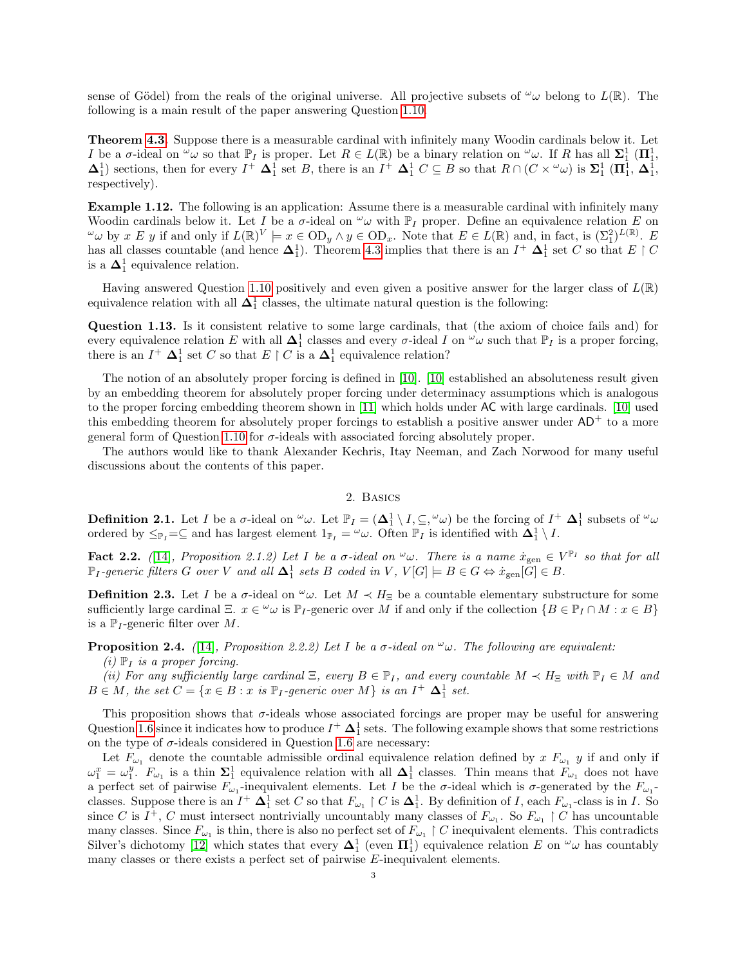sense of Gödel) from the reals of the original universe. All projective subsets of  $\omega_{\omega}$  belong to  $L(\mathbb{R})$ . The following is a main result of the paper answering Question [1.10.](#page-1-2)

Theorem [4.3.](#page-7-0) Suppose there is a measurable cardinal with infinitely many Woodin cardinals below it. Let I be a  $\sigma$ -ideal on  $\omega$  so that  $\mathbb{P}_I$  is proper. Let  $R \in L(\mathbb{R})$  be a binary relation on  $\omega$ . If R has all  $\Sigma_1^1$  ( $\Pi_1^1$ ,  $\Delta_1^1$ ) sections, then for every  $I^+ \Delta_1^1$  set B, there is an  $I^+ \Delta_1^1 C \subseteq B$  so that  $R \cap (C \times \omega)$  is  $\Sigma_1^1 (\Pi_1^1, \Delta_1^1, \Delta_1^1)$ respectively).

Example 1.12. The following is an application: Assume there is a measurable cardinal with infinitely many Woodin cardinals below it. Let I be a  $\sigma$ -ideal on  $\omega_{\omega}$  with  $\mathbb{P}_I$  proper. Define an equivalence relation E on  $\omega \omega$  by x E y if and only if  $L(\mathbb{R})^V \models x \in \text{OD}_y \land y \in \text{OD}_x$ . Note that  $E \in L(\mathbb{R})$  and, in fact, is  $(\Sigma_1^2)^{L(\mathbb{R})}$ . E has all classes countable (and hence  $\Delta_1^1$ ). Theorem [4.3](#page-7-0) implies that there is an  $I^+$   $\Delta_1^1$  set C so that  $E \upharpoonright C$ is a  $\Delta_1^1$  equivalence relation.

Having answered Question [1.10](#page-1-2) positively and even given a positive answer for the larger class of  $L(\mathbb{R})$ equivalence relation with all  $\Delta_1^1$  classes, the ultimate natural question is the following:

Question 1.13. Is it consistent relative to some large cardinals, that (the axiom of choice fails and) for every equivalence relation E with all  $\Delta_1^1$  classes and every  $\sigma$ -ideal I on  $\omega$  such that  $\mathbb{P}_I$  is a proper forcing, there is an  $I^+$   $\Delta_1^1$  set C so that  $E \upharpoonright C$  is a  $\Delta_1^1$  equivalence relation?

The notion of an absolutely proper forcing is defined in [\[10\]](#page-10-3). [\[10\]](#page-10-3) established an absoluteness result given by an embedding theorem for absolutely proper forcing under determinacy assumptions which is analogous to the proper forcing embedding theorem shown in [\[11\]](#page-10-4) which holds under AC with large cardinals. [\[10\]](#page-10-3) used this embedding theorem for absolutely proper forcings to establish a positive answer under  $AD<sup>+</sup>$  to a more general form of Question [1.10](#page-1-2) for  $\sigma$ -ideals with associated forcing absolutely proper.

The authors would like to thank Alexander Kechris, Itay Neeman, and Zach Norwood for many useful discussions about the contents of this paper.

## 2. Basics

<span id="page-2-0"></span>**Definition 2.1.** Let I be a  $\sigma$ -ideal on  ${}^{\omega}\omega$ . Let  $\mathbb{P}_I = (\Delta_1^1 \setminus I, \subseteq, {}^{\omega}\omega)$  be the forcing of  $I^+$   $\Delta_1^1$  subsets of  ${}^{\omega}\omega$ ordered by  $\leq_{\mathbb{P}_I}=\subseteq$  and has largest element  $1_{\mathbb{P}_I}=\omega_{\omega}$ . Often  $\mathbb{P}_I$  is identified with  $\Delta_1^1 \setminus I$ .

<span id="page-2-1"></span>**Fact 2.2.** ([\[14\]](#page-10-5), Proposition 2.1.2) Let I be a  $\sigma$ -ideal on  $\omega$ . There is a name  $\dot{x}_{gen} \in V^{\mathbb{P}_{I}}$  so that for all  $\mathbb{P}_I$ -generic filters G over V and all  $\Delta_1^1$  sets B coded in V,  $V[G] \models B \in G \Leftrightarrow \dot{x}_{\text{gen}}[\check{G}] \in B$ .

**Definition 2.3.** Let I be a  $\sigma$ -ideal on  $\omega$ . Let  $M \prec H_{\Xi}$  be a countable elementary substructure for some sufficiently large cardinal Ξ.  $x \in \omega$  is  $\mathbb{P}_I$ -generic over M if and only if the collection  $\{B \in \mathbb{P}_I \cap M : x \in B\}$ is a  $\mathbb{P}_I$ -generic filter over M.

<span id="page-2-2"></span>**Proposition 2.4.** ([\[14\]](#page-10-5), Proposition 2.2.2) Let I be a  $\sigma$ -ideal on  $\omega$ . The following are equivalent:

 $(i)$   $\mathbb{P}_I$  is a proper forcing.

(ii) For any sufficiently large cardinal  $\Xi$ , every  $B \in \mathbb{P}_I$ , and every countable  $M \prec H_{\Xi}$  with  $\mathbb{P}_I \in M$  and  $B \in M$ , the set  $C = \{x \in B : x \text{ is } \mathbb{P}_I\text{-generic over } M\}$  is an  $I^+ \Delta_1^1$  set.

This proposition shows that  $\sigma$ -ideals whose associated forcings are proper may be useful for answering Question [1.6](#page-1-1) since it indicates how to produce  $I^+ \Delta_1^1$  sets. The following example shows that some restrictions on the type of  $\sigma$ -ideals considered in Question [1.6](#page-1-1) are necessary:

Let  $F_{\omega_1}$  denote the countable admissible ordinal equivalence relation defined by x  $F_{\omega_1}$  y if and only if  $\omega_1^x = \omega_1^y$ .  $F_{\omega_1}$  is a thin  $\Sigma_1^1$  equivalence relation with all  $\Delta_1^1$  classes. Thin means that  $F_{\omega_1}$  does not have a perfect set of pairwise  $F_{\omega_1}$ -inequivalent elements. Let I be the  $\sigma$ -ideal which is  $\sigma$ -generated by the  $F_{\omega_1}$ classes. Suppose there is an  $I^+$   $\Delta_1^1$  set C so that  $F_{\omega_1} \restriction C$  is  $\Delta_1^1$ . By definition of I, each  $F_{\omega_1}$ -class is in I. So since C is  $I^+$ , C must intersect nontrivially uncountably many classes of  $F_{\omega_1}$ . So  $F_{\omega_1} \restriction C$  has uncountable many classes. Since  $F_{\omega_1}$  is thin, there is also no perfect set of  $F_{\omega_1} \restriction C$  inequivalent elements. This contradicts Silver's dichotomy [\[12\]](#page-10-6) which states that every  $\Delta_1^1$  (even  $\Pi_1^1$ ) equivalence relation E on  $\omega$  has countably many classes or there exists a perfect set of pairwise E-inequivalent elements.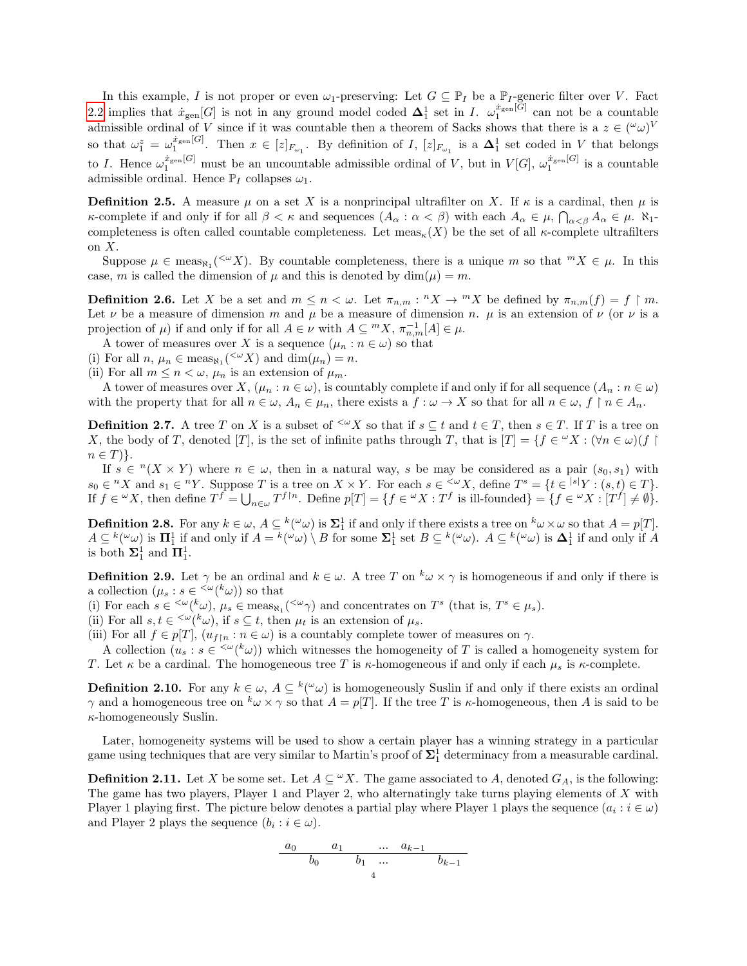In this example, I is not proper or even  $\omega_1$ -preserving: Let  $G \subseteq \mathbb{P}_I$  be a  $\mathbb{P}_I$ -generic filter over V. Fact [2.2](#page-2-1) implies that  $\dot{x}_{gen}[G]$  is not in any ground model coded  $\Delta_1^1$  set in I.  $\omega_1^{\dot{x}_{gen}[G]}$  can not be a countable admissible ordinal of V since if it was countable then a theorem of Sacks shows that there is a  $z \in {(\omega \omega)}^V$ so that  $\omega_1^z = \omega_1^{x_{\text{gen}}[G]}$ . Then  $x \in [z]_{F_{\omega_1}}$ . By definition of I,  $[z]_{F_{\omega_1}}$  is a  $\Delta_1^1$  set coded in V that belongs to I. Hence  $\omega_1^{x_{\text{gen}}[G]}$  must be an uncountable admissible ordinal of V, but in  $V[G], \omega_1^{x_{\text{gen}}[G]}$  is a countable admissible ordinal. Hence  $\mathbb{P}_I$  collapses  $\omega_1$ .

**Definition 2.5.** A measure  $\mu$  on a set X is a nonprincipal ultrafilter on X. If  $\kappa$  is a cardinal, then  $\mu$  is κ-complete if and only if for all  $\beta < \kappa$  and sequences  $(A_{\alpha}: \alpha < \beta)$  with each  $A_{\alpha} \in \mu$ ,  $\bigcap_{\alpha < \beta} A_{\alpha} \in \mu$ .  $\aleph_1$ completeness is often called countable completeness. Let  $meas_{\kappa}(X)$  be the set of all  $\kappa$ -complete ultrafilters on X.

Suppose  $\mu \in \text{meas}_{N_1}(\leq \nu X)$ . By countable completeness, there is a unique m so that  ${}^m X \in \mu$ . In this case, m is called the dimension of  $\mu$  and this is denoted by dim $(\mu) = m$ .

**Definition 2.6.** Let X be a set and  $m \leq n < \omega$ . Let  $\pi_{n,m}: {}^n X \to {}^m X$  be defined by  $\pi_{n,m}(f) = f \upharpoonright m$ . Let  $\nu$  be a measure of dimension m and  $\mu$  be a measure of dimension n.  $\mu$  is an extension of  $\nu$  (or  $\nu$  is a projection of  $\mu$ ) if and only if for all  $A \in \nu$  with  $A \subseteq {}^{m}X$ ,  $\pi_{n,m}^{-1}[A] \in \mu$ .

A tower of measures over X is a sequence  $(\mu_n : n \in \omega)$  so that

(i) For all  $n, \mu_n \in \text{meas}_{\aleph_1}({}^{<\omega}X)$  and  $\dim(\mu_n) = n$ .

(ii) For all  $m \leq n < \omega$ ,  $\mu_n$  is an extension of  $\mu_m$ .

A tower of measures over  $X, (\mu_n : n \in \omega)$ , is countably complete if and only if for all sequence  $(A_n : n \in \omega)$ with the property that for all  $n \in \omega$ ,  $A_n \in \mu_n$ , there exists a  $f : \omega \to X$  so that for all  $n \in \omega$ ,  $f \upharpoonright n \in A_n$ .

**Definition 2.7.** A tree T on X is a subset of  $\leq^{\omega} X$  so that if  $s \subseteq t$  and  $t \in T$ , then  $s \in T$ . If T is a tree on X, the body of T, denoted [T], is the set of infinite paths through T, that is  $|T| = \{f \in {}^{\omega}X : (\forall n \in \omega)(f) \}$  $n \in T$ }.

If  $s \in {}^{n}(X \times Y)$  where  $n \in \omega$ , then in a natural way, s be may be considered as a pair  $(s_0, s_1)$  with  $s_0 \in {}^n X$  and  $s_1 \in {}^n Y$ . Suppose T is a tree on  $X \times Y$ . For each  $s \in {}^{<\omega} X$ , define  $T^s = \{t \in {}^{|s|} Y : (s, t) \in T\}$ . If  $f \in {}^{\omega}X$ , then define  $T^f = \bigcup_{n \in \omega} T^{f \restriction n}$ . Define  $p[T] = \{ f \in {}^{\omega}X : T^f \text{ is ill-founded} \} = \{ f \in {}^{\omega}X : [T^f] \neq \emptyset \}.$ 

**Definition 2.8.** For any  $k \in \omega$ ,  $A \subseteq {}^{k}({}^{\omega}\omega)$  is  $\Sigma_1^1$  if and only if there exists a tree on  ${}^{k} \omega \times \omega$  so that  $A = p[T]$ .  $A \subseteq {}^{k}({}^{\omega}\omega)$  is  $\mathbf{\Pi}_{1}^{1}$  if and only if  $A = {}^{k}({}^{\omega}\omega) \setminus B$  for some  $\mathbf{\Sigma}_{1}^{1}$  set  $B \subseteq {}^{k}({}^{\omega}\omega)$ .  $A \subseteq {}^{k}({}^{\omega}\omega)$  is  $\mathbf{\Delta}_{1}^{1}$  if and only if  $A$ is both  $\Sigma_1^1$  and  $\Pi_1^1$ .

**Definition 2.9.** Let  $\gamma$  be an ordinal and  $k \in \omega$ . A tree T on  $^k \omega \times \gamma$  is homogeneous if and only if there is a collection  $(\mu_s : s \in \langle \omega(k_\omega) \rangle)$  so that

(i) For each  $s \in \langle \omega(k\omega), \mu_s \in \text{meas}_{N_1}(\langle \omega_\gamma \rangle)$  and concentrates on  $T^s$  (that is,  $T^s \in \mu_s$ ).

(ii) For all  $s, t \in \langle \omega(k\omega), \text{ if } s \subseteq t, \text{ then } \mu_t \text{ is an extension of } \mu_s.$ 

(iii) For all  $f \in p[T]$ ,  $(u_{f[n]} : n \in \omega)$  is a countably complete tower of measures on  $\gamma$ .

A collection  $(u_s : s \in \langle \omega(k\omega) \rangle$  which witnesses the homogeneity of T is called a homogeneity system for T. Let  $\kappa$  be a cardinal. The homogeneous tree T is  $\kappa$ -homogeneous if and only if each  $\mu_s$  is  $\kappa$ -complete.

**Definition 2.10.** For any  $k \in \omega$ ,  $A \subseteq {}^{k}({}^{\omega}\omega)$  is homogeneously Suslin if and only if there exists an ordinal γ and a homogeneous tree on  $kω \times γ$  so that  $A = p[T]$ . If the tree T is κ-homogeneous, then A is said to be  $\kappa$ -homogeneously Suslin.

Later, homogeneity systems will be used to show a certain player has a winning strategy in a particular game using techniques that are very similar to Martin's proof of  $\Sigma_1^1$  determinacy from a measurable cardinal.

**Definition 2.11.** Let X be some set. Let  $A \subseteq \mathcal{X}$ . The game associated to A, denoted  $G_A$ , is the following: The game has two players, Player 1 and Player 2, who alternatingly take turns playing elements of X with Player 1 playing first. The picture below denotes a partial play where Player 1 plays the sequence  $(a_i : i \in \omega)$ and Player 2 plays the sequence  $(b_i : i \in \omega)$ .

$$
\begin{array}{c|cccc}\na_0 & a_1 & \dots & a_{k-1} \\
\hline\n& b_0 & b_1 & \dots & b_{k-1} \\
& & 4\n\end{array}
$$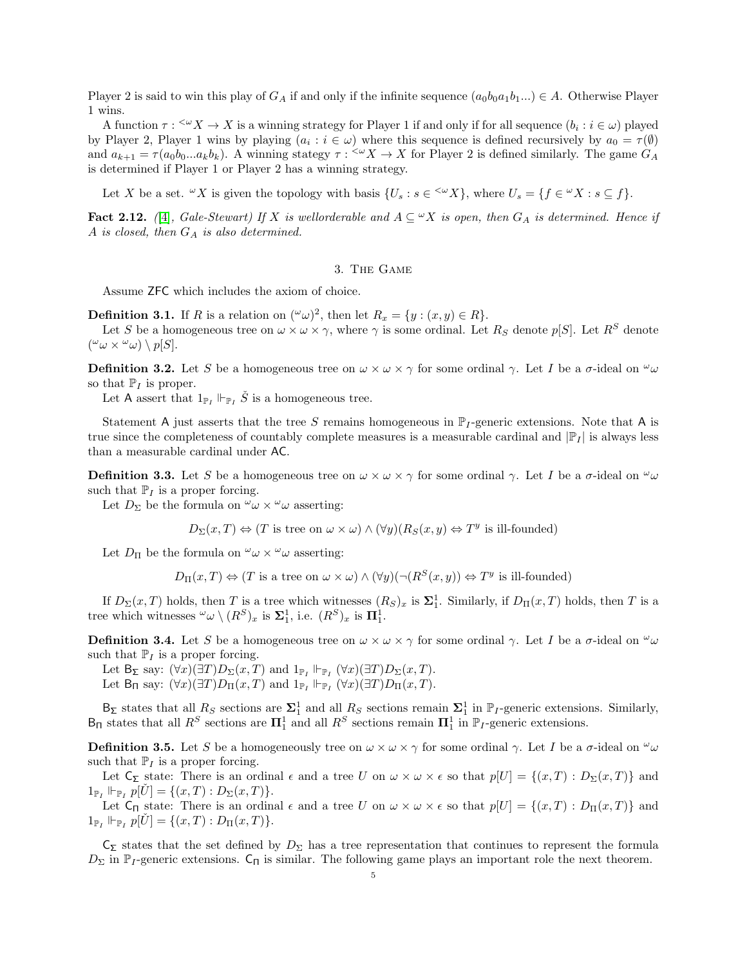Player 2 is said to win this play of  $G_A$  if and only if the infinite sequence  $(a_0b_0a_1b_1...) \in A$ . Otherwise Player 1 wins.

A function  $\tau$ :  $\leq \omega} X \to X$  is a winning strategy for Player 1 if and only if for all sequence  $(b_i : i \in \omega)$  played by Player 2, Player 1 wins by playing  $(a_i : i \in \omega)$  where this sequence is defined recursively by  $a_0 = \tau(\emptyset)$ and  $a_{k+1} = \tau(a_0b_0...a_kb_k)$ . A winning stategy  $\tau : \langle X \rangle \to X$  for Player 2 is defined similarly. The game  $G_A$ is determined if Player 1 or Player 2 has a winning strategy.

Let X be a set.  $\omega X$  is given the topology with basis  $\{U_s : s \in \langle \omega X \}$ , where  $U_s = \{f \in \omega X : s \subseteq f\}$ .

<span id="page-4-0"></span>Fact 2.12. ([\[4\]](#page-10-7), Gale-Stewart) If X is wellorderable and  $A \subseteq "X$  is open, then  $G_A$  is determined. Hence if A is closed, then  $G_A$  is also determined.

### 3. The Game

Assume ZFC which includes the axiom of choice.

<span id="page-4-1"></span>**Definition 3.1.** If R is a relation on  $({}^{\omega}\omega)^2$ , then let  $R_x = \{y : (x, y) \in R\}.$ 

Let S be a homogeneous tree on  $\omega \times \omega \times \gamma$ , where  $\gamma$  is some ordinal. Let  $R_S$  denote p[S]. Let  $R^S$  denote  $({}^{\omega}\omega \times {}^{\omega}\omega) \setminus p[S].$ 

**Definition 3.2.** Let S be a homogeneous tree on  $\omega \times \omega \times \gamma$  for some ordinal  $\gamma$ . Let I be a  $\sigma$ -ideal on  $\omega$ so that  $\mathbb{P}_I$  is proper.

Let A assert that  $1_{\mathbb{P}_I} \Vdash_{\mathbb{P}_I} \check{S}$  is a homogeneous tree.

Statement A just asserts that the tree S remains homogeneous in  $\mathbb{P}_I$ -generic extensions. Note that A is true since the completeness of countably complete measures is a measurable cardinal and  $|\mathbb{P}_I|$  is always less than a measurable cardinal under AC.

**Definition 3.3.** Let S be a homogeneous tree on  $\omega \times \omega \times \gamma$  for some ordinal  $\gamma$ . Let I be a  $\sigma$ -ideal on  $\omega$ such that  $\mathbb{P}_I$  is a proper forcing.

Let  $D_{\Sigma}$  be the formula on  $^{\omega}\omega \times ^{\omega}\omega$  asserting:

 $D_{\Sigma}(x,T) \Leftrightarrow (T \text{ is tree on } \omega \times \omega) \wedge (\forall y)(R_{S}(x,y) \Leftrightarrow T^{y} \text{ is ill-founded})$ 

Let  $D_{\Pi}$  be the formula on  $^{\omega}\omega \times ^{\omega}\omega$  asserting:

 $D_{\Pi}(x,T) \Leftrightarrow (T \text{ is a tree on } \omega \times \omega) \wedge (\forall y)(\neg(R^{S}(x,y)) \Leftrightarrow T^{y} \text{ is ill-founded})$ 

If  $D_{\Sigma}(x,T)$  holds, then T is a tree which witnesses  $(R_S)_x$  is  $\Sigma_1^1$ . Similarly, if  $D_{\Pi}(x,T)$  holds, then T is a tree which witnesses  $\omega_{\omega} \setminus (R^S)_x$  is  $\Sigma_1^1$ , i.e.  $(R^S)_x$  is  $\Pi_1^1$ .

**Definition 3.4.** Let S be a homogeneous tree on  $\omega \times \omega \times \gamma$  for some ordinal  $\gamma$ . Let I be a  $\sigma$ -ideal on  $\omega$ such that  $\mathbb{P}_I$  is a proper forcing.

Let  $B_{\Sigma}$  say:  $(\forall x)(\exists T)D_{\Sigma}(x,T)$  and  $1_{\mathbb{P}_I} \Vdash_{\mathbb{P}_I} (\forall x)(\exists T)D_{\Sigma}(x,T)$ . Let  $B_{\Pi}$  say:  $(\forall x)(\exists T)D_{\Pi}(x,T)$  and  $1_{\mathbb{P}_I} \Vdash_{\mathbb{P}_I} (\forall x)(\exists T)D_{\Pi}(x,T)$ .

 $B_{\Sigma}$  states that all  $R_S$  sections are  $\Sigma_1^1$  and all  $R_S$  sections remain  $\Sigma_1^1$  in  $\mathbb{P}_I$ -generic extensions. Similarly,  $B_{\Pi}$  states that all  $R^S$  sections are  $\Pi_1^1$  and all  $R^S$  sections remain  $\Pi_1^1$  in  $\mathbb{P}_I$ -generic extensions.

**Definition 3.5.** Let S be a homogeneously tree on  $\omega \times \omega \times \gamma$  for some ordinal  $\gamma$ . Let I be a  $\sigma$ -ideal on  $\omega$ such that  $\mathbb{P}_I$  is a proper forcing.

Let  $C_{\Sigma}$  state: There is an ordinal  $\epsilon$  and a tree U on  $\omega \times \omega \times \epsilon$  so that  $p[U] = \{(x,T) : D_{\Sigma}(x,T)\}\$ and  $1_{\mathbb{P}_I} \Vdash_{\mathbb{P}_I} p[\check{U}] = \{(x,T) : D_{\Sigma}(x,T)\}.$ 

Let  $C_{\Pi}$  state: There is an ordinal  $\epsilon$  and a tree U on  $\omega \times \omega \times \epsilon$  so that  $p[U] = \{(x,T) : D_{\Pi}(x,T)\}\$ and  $1_{\mathbb{P}_I} \Vdash_{\mathbb{P}_I} p[U] = \{(x,T) : D_{\Pi}(x,T)\}.$ 

 $C_{\Sigma}$  states that the set defined by  $D_{\Sigma}$  has a tree representation that continues to represent the formula  $D_{\Sigma}$  in  $\mathbb{P}_I$ -generic extensions.  $C_{\Pi}$  is similar. The following game plays an important role the next theorem.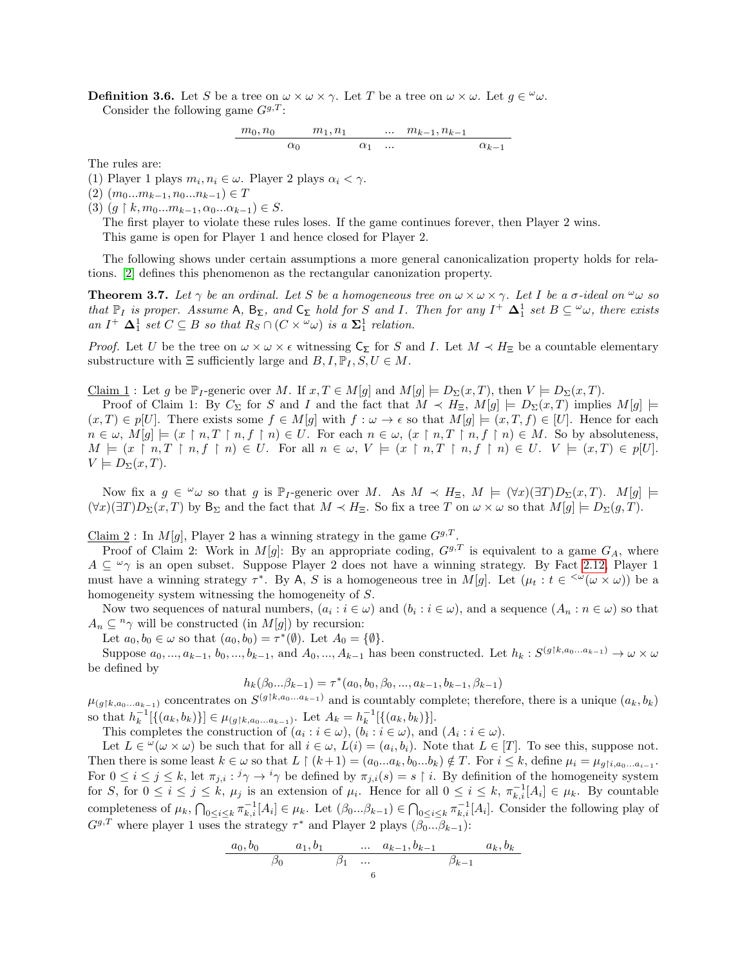**Definition 3.6.** Let S be a tree on  $\omega \times \omega \times \gamma$ . Let T be a tree on  $\omega \times \omega$ . Let  $g \in \omega$ . Consider the following game  $G^{g,T}$ :

$$
\frac{m_0,n_0}{\alpha_0} \quad \frac{m_1,n_1}{\alpha_1} \quad \ldots \quad \frac{m_{k-1},n_{k-1}}{\alpha_{k-1}}
$$

The rules are:

(1) Player 1 plays  $m_i, n_i \in \omega$ . Player 2 plays  $\alpha_i < \gamma$ .

 $(2)$   $(m_0...m_{k-1}, n_0...n_{k-1}) \in T$ 

(3)  $(g \restriction k, m_0...m_{k-1}, \alpha_0...\alpha_{k-1}) \in S$ .

The first player to violate these rules loses. If the game continues forever, then Player 2 wins.

This game is open for Player 1 and hence closed for Player 2.

The following shows under certain assumptions a more general canonicalization property holds for relations. [\[2\]](#page-10-2) defines this phenomenon as the rectangular canonization property.

<span id="page-5-0"></span>**Theorem 3.7.** Let  $\gamma$  be an ordinal. Let S be a homogeneous tree on  $\omega \times \omega \times \gamma$ . Let I be a  $\sigma$ -ideal on  $\omega$  so that  $\mathbb{P}_I$  is proper. Assume  $\mathsf{A}, \mathsf{B}_{\Sigma}$ , and  $\mathsf{C}_{\Sigma}$  hold for S and I. Then for any  $I^+ \Delta_1^1$  set  $B \subseteq \omega_{\omega}$ , there exists an  $I^+$   $\Delta_1^1$  set  $C \subseteq B$  so that  $R_S \cap (C \times \omega)$  is a  $\Sigma_1^1$  relation.

*Proof.* Let U be the tree on  $\omega \times \omega \times \epsilon$  witnessing  $C_{\Sigma}$  for S and I. Let  $M \prec H_{\Xi}$  be a countable elementary substructure with  $\Xi$  sufficiently large and  $B, I, \mathbb{P}_I, S, U \in M$ .

Claim 1 : Let g be  $\mathbb{P}_I$ -generic over M. If  $x, T \in M[g]$  and  $M[g] \models D_{\Sigma}(x,T)$ , then  $V \models D_{\Sigma}(x,T)$ .

Proof of Claim 1: By  $C_{\Sigma}$  for S and I and the fact that  $M \prec H_{\Xi}$ ,  $M[g] \models D_{\Sigma}(x,T)$  implies  $M[g] \models$  $(x, T) \in p[U]$ . There exists some  $f \in M[g]$  with  $f: \omega \to \epsilon$  so that  $M[g] \models (x, T, f) \in [U]$ . Hence for each  $n \in \omega, M[g] \models (x \restriction n, T \restriction n, f \restriction n) \in U$ . For each  $n \in \omega, (x \restriction n, T \restriction n, f \restriction n) \in M$ . So by absoluteness,  $M \models (x \restriction n, T \restriction n, f \restriction n) \in U$ . For all  $n \in \omega$ ,  $V \models (x \restriction n, T \restriction n, f \restriction n) \in U$ .  $V \models (x, T) \in p[U]$ .  $V \models D_{\Sigma}(x,T).$ 

Now fix a  $g \in \omega$  so that g is P<sub>I</sub>-generic over M. As  $M \prec H_{\Xi}$ ,  $M \models (\forall x)(\exists T)D_{\Sigma}(x,T)$ .  $M[g] \models$  $(\forall x)(\exists T)D_{\Sigma}(x,T)$  by  $B_{\Sigma}$  and the fact that  $M \prec H_{\Xi}$ . So fix a tree T on  $\omega \times \omega$  so that  $M[g] \models D_{\Sigma}(g,T)$ .

Claim 2: In  $M[g]$ , Player 2 has a winning strategy in the game  $G^{g,T}$ .

Proof of Claim 2: Work in M[g]: By an appropriate coding,  $G^{g,T}$  is equivalent to a game  $G_A$ , where  $A \subseteq \omega_{\gamma}$  is an open subset. Suppose Player 2 does not have a winning strategy. By Fact [2.12,](#page-4-0) Player 1 must have a winning strategy  $\tau^*$ . By A, S is a homogeneous tree in M[g]. Let  $(\mu_t : t \in \langle \omega \times \omega \rangle)$  be a homogeneity system witnessing the homogeneity of S.

Now two sequences of natural numbers,  $(a_i : i \in \omega)$  and  $(b_i : i \in \omega)$ , and a sequence  $(A_n : n \in \omega)$  so that  $A_n \nsubseteq^n \gamma$  will be constructed (in  $M[g]$ ) by recursion:

Let  $a_0, b_0 \in \omega$  so that  $(a_0, b_0) = \tau^*(\emptyset)$ . Let  $A_0 = \{\emptyset\}.$ 

Suppose  $a_0, ..., a_{k-1}, b_0, ..., b_{k-1}$ , and  $A_0, ..., A_{k-1}$  has been constructed. Let  $h_k : S^{(g \restriction k, a_0, ..., a_{k-1})} \to \omega \times \omega$ be defined by

$$
h_k(\beta_0...\beta_{k-1}) = \tau^*(a_0, b_0, \beta_0, ..., a_{k-1}, b_{k-1}, \beta_{k-1})
$$

 $\mu_{(g \upharpoonright k, a_0...a_{k-1})}$  concentrates on  $S^{(g \upharpoonright k, a_0...a_{k-1})}$  and is countably complete; therefore, there is a unique  $(a_k, b_k)$ so that  $h_k^{-1}[\{(a_k, b_k)\}] \in \mu_{(g \restriction k, a_0 \ldots a_{k-1})}$ . Let  $A_k = h_k^{-1}[\{(a_k, b_k)\}]$ .

This completes the construction of  $(a_i : i \in \omega)$ ,  $(b_i : i \in \omega)$ , and  $(A_i : i \in \omega)$ .

Let  $L \in \omega(\omega \times \omega)$  be such that for all  $i \in \omega$ ,  $L(i) = (a_i, b_i)$ . Note that  $L \in [T]$ . To see this, suppose not. Then there is some least  $k \in \omega$  so that  $L \restriction (k+1) = (a_0...a_k, b_0...b_k) \notin T$ . For  $i \leq k$ , define  $\mu_i = \mu_{g[i,a_0...a_{i-1}}$ . For  $0 \le i \le j \le k$ , let  $\pi_{j,i} : i \gamma \to i \gamma$  be defined by  $\pi_{j,i}(s) = s \restriction i$ . By definition of the homogeneity system for S, for  $0 \leq i \leq j \leq k$ ,  $\mu_j$  is an extension of  $\mu_i$ . Hence for all  $0 \leq i \leq k$ ,  $\pi_{k,i}^{-1}[A_i] \in \mu_k$ . By countable completeness of  $\mu_k$ ,  $\bigcap_{0 \leq i \leq k} \pi_{k,i}^{-1}[A_i] \in \mu_k$ . Let  $(\beta_0...\beta_{k-1}) \in \bigcap_{0 \leq i \leq k} \pi_{k,i}^{-1}[A_i]$ . Consider the following play of  $G^{g,T}$  where player 1 uses the strategy  $\tau^*$  and Player 2 plays  $(\beta_0...\beta_{k-1})$ :

$$
\begin{array}{ccccccccc}\n a_0, b_0 & a_1, b_1 & \dots & a_{k-1}, b_{k-1} & a_k, b_k \\
 & \beta_0 & \beta_1 & \dots & \beta_{k-1} & \\
 & & & 6 & & \n\end{array}
$$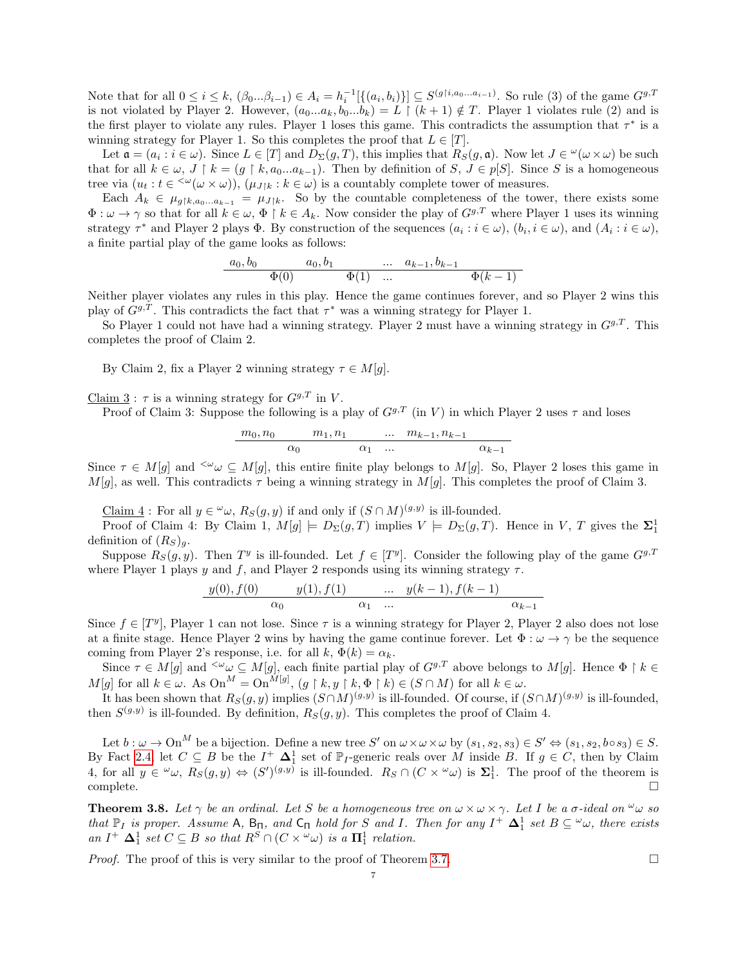Note that for all  $0 \le i \le k$ ,  $(\beta_0...\beta_{i-1}) \in A_i = h_i^{-1}[\{(a_i,b_i)\}] \subseteq S^{(g \dagger i, a_0...a_{i-1})}$ . So rule (3) of the game  $G^{g,T}$ is not violated by Player 2. However,  $(a_0...a_k, b_0...b_k) = L \restriction (k+1) \notin T$ . Player 1 violates rule (2) and is the first player to violate any rules. Player 1 loses this game. This contradicts the assumption that  $\tau^*$  is a winning strategy for Player 1. So this completes the proof that  $L \in [T]$ .

Let  $\mathfrak{a} = (a_i : i \in \omega)$ . Since  $L \in [T]$  and  $D_{\Sigma}(g,T)$ , this implies that  $R_S(g,\mathfrak{a})$ . Now let  $J \in {}^{\omega}(\omega \times \omega)$  be such that for all  $k \in \omega, J \restriction k = (g \restriction k, a_0...a_{k-1})$ . Then by definition of  $S, J \in p[S]$ . Since S is a homogeneous tree via  $(u_t : t \in \langle \omega(\omega \times \omega) \rangle, (\mu_{J|k} : k \in \omega)$  is a countably complete tower of measures.

Each  $A_k \in \mu_{g\upharpoonright k,a_0...a_{k-1}} = \mu_{J\upharpoonright k}$ . So by the countable completeness of the tower, there exists some  $\Phi: \omega \to \gamma$  so that for all  $k \in \omega$ ,  $\Phi \restriction k \in A_k$ . Now consider the play of  $G^{g,T}$  where Player 1 uses its winning strategy  $\tau^*$  and Player 2 plays  $\Phi$ . By construction of the sequences  $(a_i : i \in \omega)$ ,  $(b_i, i \in \omega)$ , and  $(A_i : i \in \omega)$ , a finite partial play of the game looks as follows:

$$
\frac{a_0, b_0 \qquad a_0, b_1 \qquad \dots \quad a_{k-1}, b_{k-1}}{\Phi(0) \qquad \Phi(1) \quad \dots \qquad \Phi(k-1)}
$$

Neither player violates any rules in this play. Hence the game continues forever, and so Player 2 wins this play of  $G^{g,T}$ . This contradicts the fact that  $\tau^*$  was a winning strategy for Player 1.

So Player 1 could not have had a winning strategy. Player 2 must have a winning strategy in  $G^{g,T}$ . This completes the proof of Claim 2.

By Claim 2, fix a Player 2 winning strategy  $\tau \in M[g]$ .

Claim  $3 : \tau$  is a winning strategy for  $G^{g,T}$  in V.

Proof of Claim 3: Suppose the following is a play of  $G^{g,T}$  (in V) in which Player 2 uses  $\tau$  and loses

$$
\frac{m_0,n_0}{\alpha_0} \quad \frac{m_1,n_1}{\alpha_1} \quad \ldots \quad \frac{m_{k-1},n_{k-1}}{\alpha_{k-1}} \quad \frac{}{\alpha_{k-1}}.
$$

Since  $\tau \in M[g]$  and  $\leq \omega \subseteq M[g]$ , this entire finite play belongs to  $M[g]$ . So, Player 2 loses this game in  $M[g]$ , as well. This contradicts  $\tau$  being a winning strategy in  $M[g]$ . This completes the proof of Claim 3.

Claim 4: For all  $y \in \omega$ ,  $R_S(g, y)$  if and only if  $(S \cap M)^{(g, y)}$  is ill-founded.

Proof of Claim 4: By Claim 1,  $M[g] \models D_{\Sigma}(g,T)$  implies  $V \models D_{\Sigma}(g,T)$ . Hence in V, T gives the  $\Sigma_1^1$ definition of  $(R_S)_g$ .

Suppose  $R_S(g, y)$ . Then  $T^y$  is ill-founded. Let  $f \in [T^y]$ . Consider the following play of the game  $G^{g,T}$ where Player 1 plays y and f, and Player 2 responds using its winning strategy  $\tau$ .

$$
\frac{y(0), f(0)}{\alpha_0} = \frac{y(1), f(1)}{\alpha_1} \dots \dots \frac{y(k-1), f(k-1)}{\alpha_{k-1}}
$$

Since  $f \in [T^y]$ , Player 1 can not lose. Since  $\tau$  is a winning strategy for Player 2, Player 2 also does not lose at a finite stage. Hence Player 2 wins by having the game continue forever. Let  $\Phi : \omega \to \gamma$  be the sequence coming from Player 2's response, i.e. for all k,  $\Phi(k) = \alpha_k$ .

Since  $\tau \in M[g]$  and  $\leq \omega \subseteq M[g]$ , each finite partial play of  $G^{g,T}$  above belongs to  $M[g]$ . Hence  $\Phi \restriction k \in$  $M[g]$  for all  $k \in \omega$ . As  $\text{On}^M = \text{On}^{M[g]}$ ,  $(g \restriction k, y \restriction k, \Phi \restriction k) \in (S \cap M)$  for all  $k \in \omega$ .

It has been shown that  $R_S(g, y)$  implies  $(S \cap M)^{(g,y)}$  is ill-founded. Of course, if  $(S \cap M)^{(g,y)}$  is ill-founded, then  $S^{(g,y)}$  is ill-founded. By definition,  $R_S(g, y)$ . This completes the proof of Claim 4.

Let  $b: \omega \to \mathrm{On}^M$  be a bijection. Define a new tree S' on  $\omega \times \omega \times \omega$  by  $(s_1, s_2, s_3) \in S' \Leftrightarrow (s_1, s_2, b \circ s_3) \in S$ . By Fact [2.4,](#page-2-2) let  $C \subseteq B$  be the  $I^+ \Delta_1^1$  set of  $\mathbb{P}_I$ -generic reals over M inside B. If  $g \in C$ , then by Claim 4, for all  $y \in \omega$ ,  $R_S(g, y) \Leftrightarrow (S')^{(g, y)}$  is ill-founded.  $R_S \cap (C \times \omega)$  is  $\Sigma_1^1$ . The proof of the theorem is  $\Box$ complete.  $\Box$ 

<span id="page-6-0"></span>**Theorem 3.8.** Let  $\gamma$  be an ordinal. Let S be a homogeneous tree on  $\omega \times \omega \times \gamma$ . Let I be a  $\sigma$ -ideal on  $\omega$  so that  $\mathbb{P}_I$  is proper. Assume A,  $B_{\Pi}$ , and  $C_{\Pi}$  hold for S and I. Then for any  $I^+$   $\Delta_1^1$  set  $B \subseteq \omega_{\omega}$ , there exists an  $I^+$   $\Delta_1^1$  set  $C \subseteq B$  so that  $R^S \cap (C \times \omega)$  is a  $\Pi_1^1$  relation.

*Proof.* The proof of this is very similar to the proof of Theorem [3.7.](#page-5-0)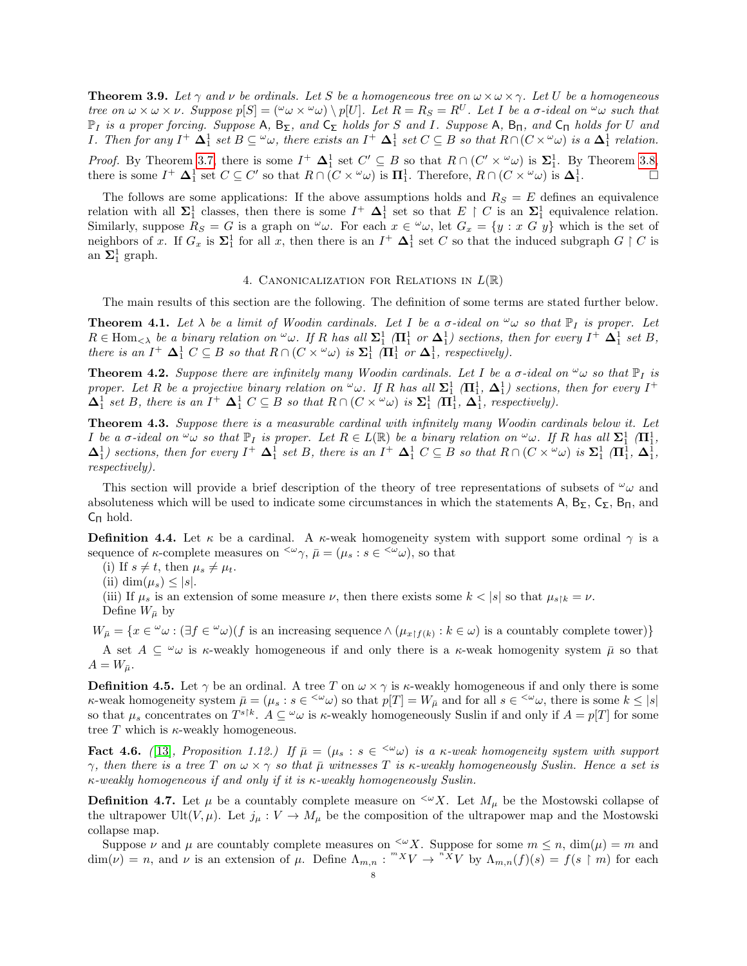**Theorem 3.9.** Let  $\gamma$  and  $\nu$  be ordinals. Let S be a homogeneous tree on  $\omega \times \omega \times \gamma$ . Let U be a homogeneous tree on  $\omega \times \omega \times \nu$ . Suppose  $p[S] = (\omega \omega \times \omega) \setminus p[U]$ . Let  $R = R_S = R^U$ . Let I be a  $\sigma$ -ideal on  $\omega \omega$  such that  $\mathbb{P}_I$  is a proper forcing. Suppose A,  $B_{\Sigma}$ , and  $C_{\Sigma}$  holds for S and I. Suppose A,  $B_{\Pi}$ , and  $C_{\Pi}$  holds for U and *I*. Then for any  $I^+ \Delta_1^1$  set  $B \subseteq \omega_\omega$ , there exists an  $I^+ \Delta_1^1$  set  $C \subseteq B$  so that  $R \cap (C \times \omega_\omega)$  is a  $\Delta_1^1$  relation.

*Proof.* By Theorem [3.7,](#page-5-0) there is some  $I^+ \Delta_1^1$  set  $C' \subseteq B$  so that  $R \cap (C' \times \omega)$  is  $\Sigma_1^1$ . By Theorem [3.8,](#page-6-0) there is some  $I^+$   $\Delta_1^1$  set  $C \subseteq C'$  so that  $R \cap (C \times \omega)$  is  $\Pi_1^1$ . Therefore,  $R \cap (C \times \omega)$  is  $\Delta_1^1$  $\Box$ 

The follows are some applications: If the above assumptions holds and  $R_S = E$  defines an equivalence relation with all  $\Sigma_1^1$  classes, then there is some  $I^+$   $\Delta_1^1$  set so that  $E \restriction C$  is an  $\Sigma_1^1$  equivalence relation. Similarly, suppose  $R_S = G$  is a graph on  $\omega_{\omega}$ . For each  $x \in \omega_{\omega}$ , let  $G_x = \{y : x \ G \ y\}$  which is the set of neighbors of x. If  $G_x$  is  $\Sigma_1^1$  for all x, then there is an  $I^+$   $\Delta_1^1$  set C so that the induced subgraph  $G \upharpoonright C$  is an  $\Sigma_1^1$  graph.

## 4. CANONICALIZATION FOR RELATIONS IN  $L(\mathbb{R})$

The main results of this section are the following. The definition of some terms are stated further below.

<span id="page-7-1"></span>**Theorem 4.1.** Let  $\lambda$  be a limit of Woodin cardinals. Let I be a  $\sigma$ -ideal on  $\omega$  so that  $\mathbb{P}_I$  is proper. Let  $R \in \text{Hom}_{\leq \lambda}$  be a binary relation on  $^{\omega} \omega$ . If R has all  $\Sigma_1^1$  ( $\Pi_1^1$  or  $\Delta_1^1$ ) sections, then for every  $I^+$   $\Delta_1^1$  set B, there is an  $I^+ \Delta_1^1 C \subseteq B$  so that  $R \cap (C \times \omega)$  is  $\Sigma_1^1 (\Pi_1^1 \text{ or } \Delta_1^1)$ , respectively).

<span id="page-7-2"></span>**Theorem 4.2.** Suppose there are infinitely many Woodin cardinals. Let I be a  $\sigma$ -ideal on  $\omega$  so that  $\mathbb{P}_I$  is proper. Let R be a projective binary relation on  $\omega$ . If R has all  $\Sigma_1^1$  ( $\Pi_1^1$ ,  $\Delta_1^1$ ) sections, then for every  $I^+$  $\Delta_1^1$  set B, there is an  $I^+$   $\Delta_1^1$   $C \subseteq B$  so that  $R \cap (C \times \omega)$  is  $\Sigma_1^1$   $(\Pi_1^1, \Delta_1^1$ , respectively).

<span id="page-7-0"></span>Theorem 4.3. Suppose there is a measurable cardinal with infinitely many Woodin cardinals below it. Let I be a  $\sigma$ -ideal on  $\omega$  so that  $\mathbb{P}_I$  is proper. Let  $R \in L(\mathbb{R})$  be a binary relation on  $\omega$ . If R has all  $\Sigma^1_1$  ( $\Pi^1_1$ ,  $\Delta_1^1$ ) sections, then for every  $I^+ \Delta_1^1$  set B, there is an  $I^+ \Delta_1^1 C \subseteq B$  so that  $R \cap (C \times \omega)$  is  $\Sigma_1^1$  ( $\Pi_1^1$ ,  $\Delta_1^1$ , respectively).

This section will provide a brief description of the theory of tree representations of subsets of  $\omega_{\omega}$  and absoluteness which will be used to indicate some circumstances in which the statements A,  $B_{\Sigma}$ ,  $C_{\Sigma}$ ,  $B_{\Pi}$ , and  $C_{\Pi}$  hold.

**Definition 4.4.** Let  $\kappa$  be a cardinal. A  $\kappa$ -weak homogeneity system with support some ordinal  $\gamma$  is a sequence of  $\kappa$ -complete measures on  $\langle \omega \gamma, \bar{\mu} \rangle = (\mu_s : s \in \langle \omega \omega \rangle)$ , so that

- (i) If  $s \neq t$ , then  $\mu_s \neq \mu_t$ .
- (ii) dim $(\mu_s) \leq |s|$ .

(iii) If  $\mu_s$  is an extension of some measure  $\nu$ , then there exists some  $k < |s|$  so that  $\mu_{s\restriction k} = \nu$ .

Define  $W_{\bar{u}}$  by

 $W_{\bar{\mu}} = \{x \in \omega : (\exists f \in \omega)(f \text{ is an increasing sequence} \land (\mu_{x \upharpoonright f(k)} : k \in \omega) \text{ is a countably complete tower})\}\$ 

A set  $A \subseteq \omega$  is  $\kappa$ -weakly homogeneous if and only there is a  $\kappa$ -weak homogenity system  $\bar{\mu}$  so that  $A = W_{\bar{\mu}}$ .

**Definition 4.5.** Let  $\gamma$  be an ordinal. A tree T on  $\omega \times \gamma$  is  $\kappa$ -weakly homogeneous if and only there is some  $\kappa$ -weak homogeneity system  $\bar{\mu} = (\mu_s : s \in \langle \omega \rangle)$  so that  $p[T] = W_{\bar{\mu}}$  and for all  $s \in \langle \omega \rangle$ , there is some  $k \leq |s|$ so that  $\mu_s$  concentrates on  $T^{s\restriction k}$ .  $A \subseteq \omega$  is  $\kappa$ -weakly homogeneously Suslin if and only if  $A = p[T]$  for some tree  $T$  which is  $\kappa$ -weakly homogeneous.

**Fact 4.6.** ([\[13\]](#page-10-8), Proposition 1.12.) If  $\bar{\mu} = (\mu_s : s \in \langle \omega \omega \rangle)$  is a  $\kappa$ -weak homogeneity system with support  $\gamma$ , then there is a tree T on  $\omega \times \gamma$  so that  $\bar{\mu}$  witnesses T is  $\kappa$ -weakly homogeneously Suslin. Hence a set is κ-weakly homogeneous if and only if it is κ-weakly homogeneously Suslin.

**Definition 4.7.** Let  $\mu$  be a countably complete measure on  $\leq \alpha X$ . Let  $M_{\mu}$  be the Mostowski collapse of the ultrapower Ult(V,  $\mu$ ). Let  $j_{\mu}: V \to M_{\mu}$  be the composition of the ultrapower map and the Mostowski collapse map.

Suppose  $\nu$  and  $\mu$  are countably complete measures on  $\langle W \times X \rangle$ . Suppose for some  $m \leq n$ ,  $\dim(\mu) = m$  and  $\dim(\nu) = n$ , and  $\nu$  is an extension of  $\mu$ . Define  $\Lambda_{m,n} : {}^{m}XV \to {}^{n}XV$  by  $\Lambda_{m,n}(f)(s) = f(s \restriction m)$  for each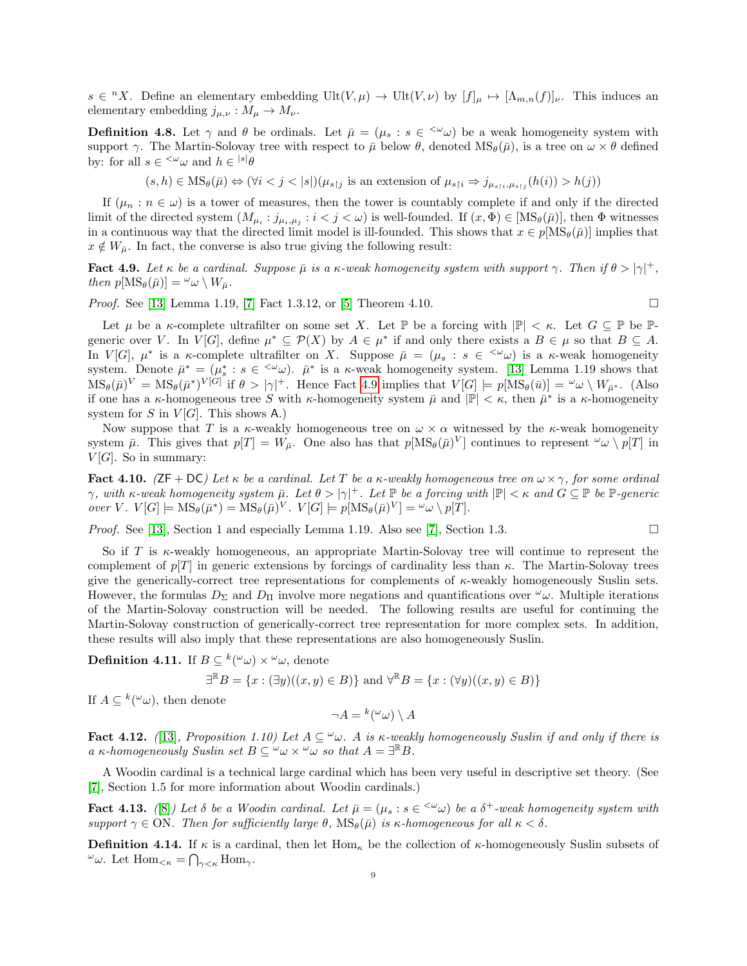$s \in {}^{n}X$ . Define an elementary embedding Ult $(V, \mu) \to \text{Ult}(V, \nu)$  by  $[f]_{\mu} \mapsto [\Lambda_{m,n}(f)]_{\nu}$ . This induces an elementary embedding  $j_{\mu,\nu}: M_{\mu} \to M_{\nu}$ .

**Definition 4.8.** Let  $\gamma$  and  $\theta$  be ordinals. Let  $\bar{\mu} = (\mu_s : s \in \langle \omega \omega \rangle)$  be a weak homogeneity system with support γ. The Martin-Solovay tree with respect to  $\bar{\mu}$  below  $\theta$ , denoted  $MS_{\theta}(\bar{\mu})$ , is a tree on  $\omega \times \theta$  defined by: for all  $s \in \langle \omega \omega \rangle$  and  $h \in \langle s | \theta \rangle$ 

 $(s, h) \in \text{MS}_{\theta}(\bar{\mu}) \Leftrightarrow (\forall i < j < |s|)(\mu_{s\uparrow j} \text{ is an extension of } \mu_{s\uparrow i} \Rightarrow j_{\mu_{s\uparrow i}, \mu_{s\uparrow j}}(h(i)) > h(j))$ 

If  $(\mu_n : n \in \omega)$  is a tower of measures, then the tower is countably complete if and only if the directed limit of the directed system  $(M_{\mu_i} : j_{\mu_i,\mu_j} : i < j < \omega)$  is well-founded. If  $(x, \Phi) \in [MS_\theta(\bar{\mu})]$ , then  $\Phi$  witnesses in a continuous way that the directed limit model is ill-founded. This shows that  $x \in p[MS_{\theta}(\bar{\mu})]$  implies that  $x \notin W_{\bar{\mu}}$ . In fact, the converse is also true giving the following result:

<span id="page-8-0"></span>**Fact 4.9.** Let  $\kappa$  be a cardinal. Suppose  $\bar{\mu}$  is a  $\kappa$ -weak homogeneity system with support  $\gamma$ . Then if  $\theta > |\gamma|^+$ , then  $p[\text{MS}_{\theta}(\bar{\mu})] = \omega_{\omega} \setminus W_{\bar{\mu}}$ .

*Proof.* See [\[13\]](#page-10-8) Lemma 1.19, [\[7\]](#page-10-9) Fact 1.3.12, or [\[5\]](#page-10-10) Theorem 4.10.

Let  $\mu$  be a  $\kappa$ -complete ultrafilter on some set X. Let  $\mathbb{P}$  be a forcing with  $|\mathbb{P}| < \kappa$ . Let  $G \subseteq \mathbb{P}$  be  $\mathbb{P}$ generic over V. In  $V[G]$ , define  $\mu^* \subseteq \mathcal{P}(X)$  by  $A \in \mu^*$  if and only there exists a  $B \in \mu$  so that  $B \subseteq A$ . In  $V[G], \mu^*$  is a  $\kappa$ -complete ultrafilter on X. Suppose  $\bar{\mu} = (\mu_s : s \in \langle \omega \omega \rangle)$  is a  $\kappa$ -weak homogeneity system. Denote  $\bar{\mu}^* = (\mu_s^* : s \in \langle \omega \omega \rangle$ .  $\bar{\mu}^*$  is a  $\kappa$ -weak homogeneity system. [\[13\]](#page-10-8) Lemma 1.19 shows that  $\text{MS}_{\theta}(\bar{\mu})^V = \text{MS}_{\theta}(\bar{\mu}^*)^{V[G]}$  if  $\theta > |\gamma|^+$ . Hence Fact [4.9](#page-8-0) implies that  $V[G] \models p[\text{MS}_{\theta}(\bar{u})] = \omega \omega \setminus W_{\bar{\mu}^*}$ . (Also if one has a  $\kappa$ -homogeneous tree S with  $\kappa$ -homogeneity system  $\bar{\mu}$  and  $|\mathbb{P}| < \kappa$ , then  $\bar{\mu}^*$  is a  $\kappa$ -homogeneity system for S in  $V[G]$ . This shows A.)

Now suppose that T is a  $\kappa$ -weakly homogeneous tree on  $\omega \times \alpha$  witnessed by the  $\kappa$ -weak homogeneity system  $\bar{\mu}$ . This gives that  $p[T] = W_{\bar{\mu}}$ . One also has that  $p[MS_{\theta}(\bar{\mu})^V]$  continues to represent  $\omega \setminus p[T]$  in  $V[G]$ . So in summary:

<span id="page-8-1"></span>Fact 4.10. (ZF + DC) Let  $\kappa$  be a cardinal. Let T be a  $\kappa$ -weakly homogeneous tree on  $\omega \times \gamma$ , for some ordinal  $\gamma$ , with  $\kappa$ -weak homogeneity system  $\bar{\mu}$ . Let  $\theta > |\gamma|^+$ . Let  $\mathbb P$  be a forcing with  $|\mathbb P| < \kappa$  and  $G \subseteq \mathbb P$  be  $\mathbb P$ -generic over V.  $V[G] \models \text{MS}_{\theta}(\bar{\mu}^*) = \text{MS}_{\theta}(\bar{\mu})^V$ .  $V[G] \models p[\text{MS}_{\theta}(\bar{\mu})^V] = \omega \omega \setminus p[T]$ .

*Proof.* See [\[13\]](#page-10-8), Section 1 and especially Lemma 1.19. Also see [\[7\]](#page-10-9), Section 1.3.

So if T is  $\kappa$ -weakly homogeneous, an appropriate Martin-Solovay tree will continue to represent the complement of  $p[T]$  in generic extensions by forcings of cardinality less than  $\kappa$ . The Martin-Solovay trees give the generically-correct tree representations for complements of  $\kappa$ -weakly homogeneously Suslin sets. However, the formulas  $D_{\Sigma}$  and  $D_{\Pi}$  involve more negations and quantifications over  $\omega_{\omega}$ . Multiple iterations of the Martin-Solovay construction will be needed. The following results are useful for continuing the Martin-Solovay construction of generically-correct tree representation for more complex sets. In addition, these results will also imply that these representations are also homogeneously Suslin.

Definition 4.11. If  $B \subseteq {}^{k}({}^{\omega}\omega) \times {}^{\omega}\omega$ , denote

$$
\exists^{\mathbb{R}} B = \{x : (\exists y)((x, y) \in B)\} \text{ and } \forall^{\mathbb{R}} B = \{x : (\forall y)((x, y) \in B)\}\
$$

If  $A \subseteq {}^{k}({}^{\omega}\omega)$ , then denote

$$
\neg A = {^k}(\omega\omega) \setminus A
$$

Fact 4.12. ([\[13\]](#page-10-8), Proposition 1.10) Let  $A \subseteq \omega$ . A is  $\kappa$ -weakly homogeneously Suslin if and only if there is a  $\kappa$ -homogeneously Suslin set  $B \subseteq \omega \cup \omega \times \omega$  so that  $A = \exists \mathbb{R} B$ .

A Woodin cardinal is a technical large cardinal which has been very useful in descriptive set theory. (See [\[7\]](#page-10-9), Section 1.5 for more information about Woodin cardinals.)

<span id="page-8-2"></span>**Fact 4.13.** ([\[8\]](#page-10-11)) Let  $\delta$  be a Woodin cardinal. Let  $\bar{\mu} = (\mu_s : s \in \langle \omega \omega \rangle)$  be a  $\delta^+$ -weak homogeneity system with support  $\gamma \in \text{ON}$ . Then for sufficiently large  $\theta$ ,  $\text{MS}_\theta(\bar{\mu})$  is  $\kappa$ -homogeneous for all  $\kappa < \delta$ .

**Definition 4.14.** If  $\kappa$  is a cardinal, then let Hom<sub> $\kappa$ </sub> be the collection of  $\kappa$ -homogeneously Suslin subsets of  $^{\omega}\omega$ . Let Hom<sub><k</sub> =  $\bigcap_{\gamma<\kappa}$  Hom<sub>γ</sub>.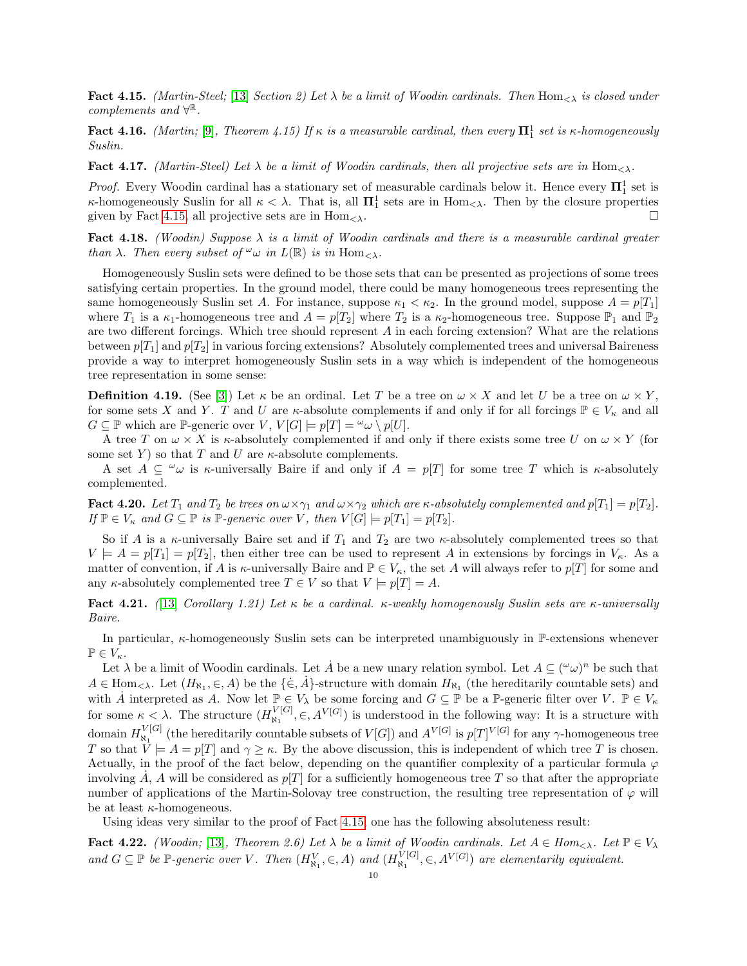<span id="page-9-0"></span>Fact 4.15. (Martin-Steel; [\[13\]](#page-10-8) Section 2) Let  $\lambda$  be a limit of Woodin cardinals. Then Hom<sub> $\lambda$ </sub> is closed under  $complements$  and  $\forall^{\mathbb{R}}$ .

**Fact 4.16.** (Martin; [\[9\]](#page-10-12), Theorem 4.15) If  $\kappa$  is a measurable cardinal, then every  $\mathbf{\Pi}^1_1$  set is  $\kappa$ -homogeneously Suslin.

<span id="page-9-2"></span>**Fact 4.17.** (Martin-Steel) Let  $\lambda$  be a limit of Woodin cardinals, then all projective sets are in Hom $_{\leq \lambda}$ .

*Proof.* Every Woodin cardinal has a stationary set of measurable cardinals below it. Hence every  $\mathbf{\Pi}^1_1$  set is  $\kappa$ -homogeneously Suslin for all  $\kappa < \lambda$ . That is, all  $\mathbf{\Pi}^1_1$  sets are in Hom<sub> $\langle \lambda \rangle$ </sub>. Then by the closure properties given by Fact [4.15,](#page-9-0) all projective sets are in  $\text{Hom}_{\leq \lambda}$ .

<span id="page-9-3"></span>Fact 4.18. (Woodin) Suppose  $\lambda$  is a limit of Woodin cardinals and there is a measurable cardinal greater than  $\lambda$ . Then every subset of  $\omega$  in  $L(\mathbb{R})$  is in  $\text{Hom}_{\leq \lambda}$ .

Homogeneously Suslin sets were defined to be those sets that can be presented as projections of some trees satisfying certain properties. In the ground model, there could be many homogeneous trees representing the same homogeneously Suslin set A. For instance, suppose  $\kappa_1 < \kappa_2$ . In the ground model, suppose  $A = p[T_1]$ where  $T_1$  is a  $\kappa_1$ -homogeneous tree and  $A = p[T_2]$  where  $T_2$  is a  $\kappa_2$ -homogeneous tree. Suppose  $\mathbb{P}_1$  and  $\mathbb{P}_2$ are two different forcings. Which tree should represent  $A$  in each forcing extension? What are the relations between  $p[T_1]$  and  $p[T_2]$  in various forcing extensions? Absolutely complemented trees and universal Baireness provide a way to interpret homogeneously Suslin sets in a way which is independent of the homogeneous tree representation in some sense:

**Definition 4.19.** (See [\[3\]](#page-10-13)) Let  $\kappa$  be an ordinal. Let T be a tree on  $\omega \times X$  and let U be a tree on  $\omega \times Y$ , for some sets X and Y. T and U are  $\kappa$ -absolute complements if and only if for all forcings  $\mathbb{P} \in V_{\kappa}$  and all  $G \subseteq \mathbb{P}$  which are  $\mathbb{P}$ -generic over  $V, V[G] \models p[T] = \omega \cup p[U].$ 

A tree T on  $\omega \times X$  is *k*-absolutely complemented if and only if there exists some tree U on  $\omega \times Y$  (for some set Y ) so that T and U are  $\kappa$ -absolute complements.

A set  $A \subseteq \omega$  is  $\kappa$ -universally Baire if and only if  $A = p[T]$  for some tree T which is  $\kappa$ -absolutely complemented.

**Fact 4.20.** Let  $T_1$  and  $T_2$  be trees on  $\omega \times \gamma_1$  and  $\omega \times \gamma_2$  which are  $\kappa$ -absolutely complemented and  $p[T_1] = p[T_2]$ . If  $\mathbb{P} \in V_{\kappa}$  and  $G \subseteq \mathbb{P}$  is  $\mathbb{P}\text{-}generic over V$ , then  $V[G] \models p[T_1] = p[T_2]$ .

So if A is a  $\kappa$ -universally Baire set and if  $T_1$  and  $T_2$  are two  $\kappa$ -absolutely complemented trees so that  $V \models A = p[T_1] = p[T_2]$ , then either tree can be used to represent A in extensions by forcings in  $V_{\kappa}$ . As a matter of convention, if A is  $\kappa$ -universally Baire and  $\mathbb{P} \in V_\kappa$ , the set A will always refer to  $p[T]$  for some and any  $\kappa$ -absolutely complemented tree  $T \in V$  so that  $V \models p[T] = A$ .

Fact 4.21. ([\[13\]](#page-10-8) Corollary 1.21) Let  $\kappa$  be a cardinal.  $\kappa$ -weakly homogenously Suslin sets are  $\kappa$ -universally Baire.

In particular,  $\kappa$ -homogeneously Suslin sets can be interpreted unambiguously in P-extensions whenever  $\mathbb{P} \in V_{\kappa}$ .

Let  $\lambda$  be a limit of Woodin cardinals. Let  $\dot{A}$  be a new unary relation symbol. Let  $A \subseteq (\omega\omega)^n$  be such that  $A \in \text{Hom}_{\leq \lambda}$ . Let  $(H_{\aleph_1}, \in, A)$  be the  $\{\dot{\in}, \dot{A}\}$ -structure with domain  $H_{\aleph_1}$  (the hereditarily countable sets) and with A interpreted as A. Now let  $\mathbb{P} \in V_\lambda$  be some forcing and  $G \subseteq \mathbb{P}$  be a P-generic filter over  $V$ .  $\mathbb{P} \in V_\kappa$ for some  $\kappa < \lambda$ . The structure  $(H_{\aleph}^{V[G]}$  $\mathcal{N}_{\aleph_1}^{[G]}, \in, A^{V[G]}$  is understood in the following way: It is a structure with domain  $H_{\aleph_1}^{V[G]}$  $\mathcal{N}_{\mathcal{N}_1}^{[G]}$  (the hereditarily countable subsets of  $V[G]$ ) and  $A^{V[G]}$  is  $p[T]^{V[G]}$  for any  $\gamma$ -homogeneous tree T so that  $\hat{V} \models A = p[T]$  and  $\gamma \geq \kappa$ . By the above discussion, this is independent of which tree T is chosen. Actually, in the proof of the fact below, depending on the quantifier complexity of a particular formula  $\varphi$ involving  $\dot{A}$ , A will be considered as  $p[T]$  for a sufficiently homogeneous tree T so that after the appropriate number of applications of the Martin-Solovay tree construction, the resulting tree representation of  $\varphi$  will be at least  $\kappa$ -homogeneous.

Using ideas very similar to the proof of Fact [4.15,](#page-9-0) one has the following absoluteness result:

<span id="page-9-1"></span>**Fact 4.22.** (Woodin; [\[13\]](#page-10-8), Theorem 2.6) Let  $\lambda$  be a limit of Woodin cardinals. Let  $A \in Hom_{\leq \lambda}$ . Let  $\mathbb{P} \in V_{\lambda}$ and  $G \subseteq \mathbb{P}$  be  $\mathbb{P}$ -generic over V. Then  $(H_{\aleph_1}^V, \in, A)$  and  $(H_{\aleph_1}^{V[G]})$  $\mathcal{L}_{\aleph_1}^{[G]}, \in, A^{V[G]}$  are elementarily equivalent.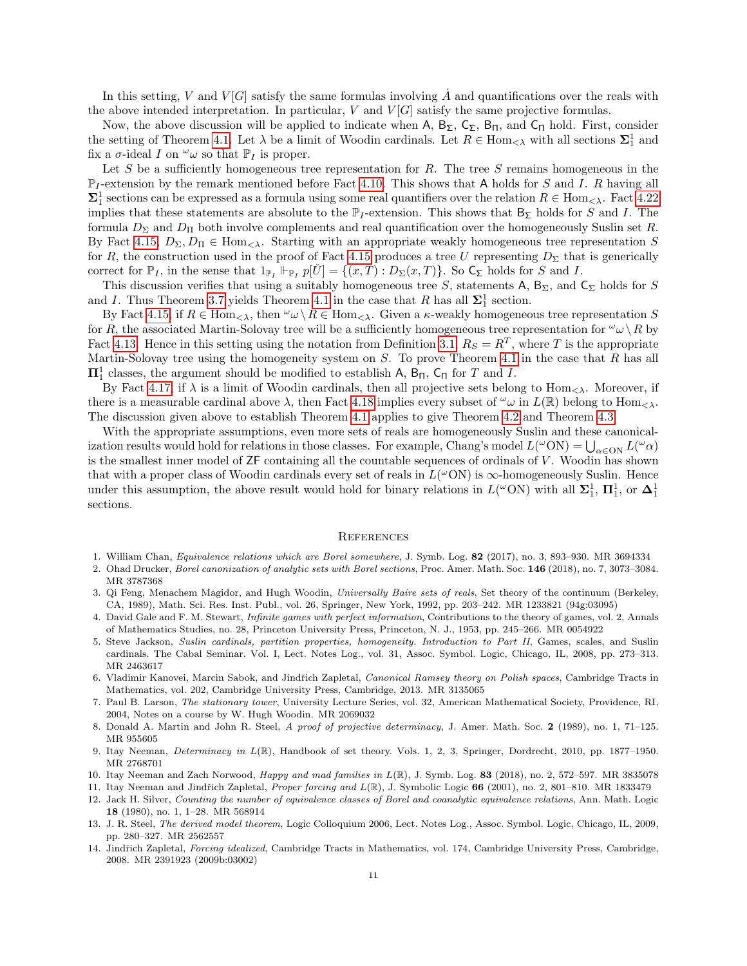In this setting, V and V[G] satisfy the same formulas involving  $\tilde{A}$  and quantifications over the reals with the above intended interpretation. In particular,  $V$  and  $V[G]$  satisfy the same projective formulas.

Now, the above discussion will be applied to indicate when A,  $B_{\Sigma}$ ,  $C_{\Sigma}$ ,  $B_{\Pi}$ , and  $C_{\Pi}$  hold. First, consider the setting of Theorem [4.1.](#page-7-1) Let  $\lambda$  be a limit of Woodin cardinals. Let  $R \in \text{Hom}_{\leq \lambda}$  with all sections  $\Sigma_1^1$  and fix a  $\sigma$ -ideal I on  $\omega_{\omega}$  so that  $\mathbb{P}_I$  is proper.

Let S be a sufficiently homogeneous tree representation for R. The tree S remains homogeneous in the  $\mathbb{P}_I$ -extension by the remark mentioned before Fact [4.10.](#page-8-1) This shows that A holds for S and I. R having all  $\Sigma_1^1$  sections can be expressed as a formula using some real quantifiers over the relation  $R \in \text{Hom}_{\leq \lambda}$ . Fact [4.22](#page-9-1) implies that these statements are absolute to the  $\mathbb{P}_I$ -extension. This shows that  $B_{\Sigma}$  holds for S and I. The formula  $D_{\Sigma}$  and  $D_{\Pi}$  both involve complements and real quantification over the homogeneously Suslin set R. By Fact [4.15,](#page-9-0)  $D_{\Sigma}, D_{\Pi} \in \text{Hom}_{\leq \lambda}$ . Starting with an appropriate weakly homogeneous tree representation S for R, the construction used in the proof of Fact [4.15](#page-9-0) produces a tree U representing  $D_{\Sigma}$  that is generically correct for  $\mathbb{P}_I$ , in the sense that  $1_{\mathbb{P}_I} \Vdash_{\mathbb{P}_I} p[U] = \{(x,T) : D_{\Sigma}(x,T)\}\.$  So  $C_{\Sigma}$  holds for S and I.

This discussion verifies that using a suitably homogeneous tree S, statements A,  $B_{\Sigma}$ , and  $C_{\Sigma}$  holds for S and I. Thus Theorem [3.7](#page-5-0) yields Theorem [4.1](#page-7-1) in the case that R has all  $\Sigma_1^1$  section.

By Fact [4.15,](#page-9-0) if  $R \in \text{Hom}_{\leq \lambda}$ , then  $\omega \setminus R \in \text{Hom}_{\leq \lambda}$ . Given a  $\kappa$ -weakly homogeneous tree representation S for R, the associated Martin-Solovay tree will be a sufficiently homogeneous tree representation for  $\omega \setminus R$  by Fact [4.13.](#page-8-2) Hence in this setting using the notation from Definition [3.1,](#page-4-1)  $R_S = R^T$ , where T is the appropriate Martin-Solovay tree using the homogeneity system on  $S$ . To prove Theorem [4.1](#page-7-1) in the case that  $R$  has all  $\Pi^1_1$  classes, the argument should be modified to establish A,  $B_{\Pi}$ ,  $C_{\Pi}$  for T and I.

By Fact [4.17,](#page-9-2) if  $\lambda$  is a limit of Woodin cardinals, then all projective sets belong to Hom<sub> $\langle \lambda \rangle$ </sub>. Moreover, if there is a measurable cardinal above  $\lambda$ , then Fact [4.18](#page-9-3) implies every subset of  $\omega$  in  $L(\mathbb{R})$  belong to Hom $\langle \lambda \rangle$ . The discussion given above to establish Theorem [4.1](#page-7-1) applies to give Theorem [4.2](#page-7-2) and Theorem [4.3.](#page-7-0)

With the appropriate assumptions, even more sets of reals are homogeneously Suslin and these canonicalization results would hold for relations in those classes. For example, Chang's model  $L(\omega ON) = \bigcup_{\alpha \in ON} L(\omega \alpha)$ is the smallest inner model of ZF containing all the countable sequences of ordinals of V . Woodin has shown that with a proper class of Woodin cardinals every set of reals in  $L(^\omega ON)$  is  $\infty$ -homogeneously Suslin. Hence under this assumption, the above result would hold for binary relations in  $L(^{\omega}ON)$  with all  $\Sigma_1^1$ ,  $\Pi_1^1$ , or  $\Delta_1^1$ sections.

#### **REFERENCES**

- <span id="page-10-1"></span>1. William Chan, Equivalence relations which are Borel somewhere, J. Symb. Log. 82 (2017), no. 3, 893–930. MR 3694334
- <span id="page-10-2"></span>2. Ohad Drucker, Borel canonization of analytic sets with Borel sections, Proc. Amer. Math. Soc. 146 (2018), no. 7, 3073–3084. MR 3787368
- <span id="page-10-13"></span>3. Qi Feng, Menachem Magidor, and Hugh Woodin, Universally Baire sets of reals, Set theory of the continuum (Berkeley, CA, 1989), Math. Sci. Res. Inst. Publ., vol. 26, Springer, New York, 1992, pp. 203–242. MR 1233821 (94g:03095)
- <span id="page-10-7"></span>4. David Gale and F. M. Stewart, Infinite games with perfect information, Contributions to the theory of games, vol. 2, Annals of Mathematics Studies, no. 28, Princeton University Press, Princeton, N. J., 1953, pp. 245–266. MR 0054922
- <span id="page-10-10"></span>5. Steve Jackson, Suslin cardinals, partition properties, homogeneity. Introduction to Part II, Games, scales, and Suslin cardinals. The Cabal Seminar. Vol. I, Lect. Notes Log., vol. 31, Assoc. Symbol. Logic, Chicago, IL, 2008, pp. 273–313. MR 2463617
- <span id="page-10-0"></span>6. Vladimir Kanovei, Marcin Sabok, and Jindřich Zapletal, Canonical Ramsey theory on Polish spaces, Cambridge Tracts in Mathematics, vol. 202, Cambridge University Press, Cambridge, 2013. MR 3135065
- <span id="page-10-9"></span>7. Paul B. Larson, The stationary tower, University Lecture Series, vol. 32, American Mathematical Society, Providence, RI, 2004, Notes on a course by W. Hugh Woodin. MR 2069032
- <span id="page-10-11"></span>8. Donald A. Martin and John R. Steel, A proof of projective determinacy, J. Amer. Math. Soc. 2 (1989), no. 1, 71–125. MR 955605
- <span id="page-10-12"></span>9. Itay Neeman, Determinacy in L(R), Handbook of set theory. Vols. 1, 2, 3, Springer, Dordrecht, 2010, pp. 1877–1950. MR 2768701
- <span id="page-10-3"></span>10. Itay Neeman and Zach Norwood, *Happy and mad families in*  $L(\mathbb{R})$ , J. Symb. Log. **83** (2018), no. 2, 572–597. MR 3835078
- <span id="page-10-4"></span>11. Itay Neeman and Jindřich Zapletal, Proper forcing and  $L(\mathbb{R})$ , J. Symbolic Logic 66 (2001), no. 2, 801–810. MR 1833479
- <span id="page-10-6"></span>12. Jack H. Silver, Counting the number of equivalence classes of Borel and coanalytic equivalence relations, Ann. Math. Logic 18 (1980), no. 1, 1–28. MR 568914
- <span id="page-10-8"></span>13. J. R. Steel, The derived model theorem, Logic Colloquium 2006, Lect. Notes Log., Assoc. Symbol. Logic, Chicago, IL, 2009, pp. 280–327. MR 2562557
- <span id="page-10-5"></span>14. Jindřich Zapletal, Forcing idealized, Cambridge Tracts in Mathematics, vol. 174, Cambridge University Press, Cambridge, 2008. MR 2391923 (2009b:03002)